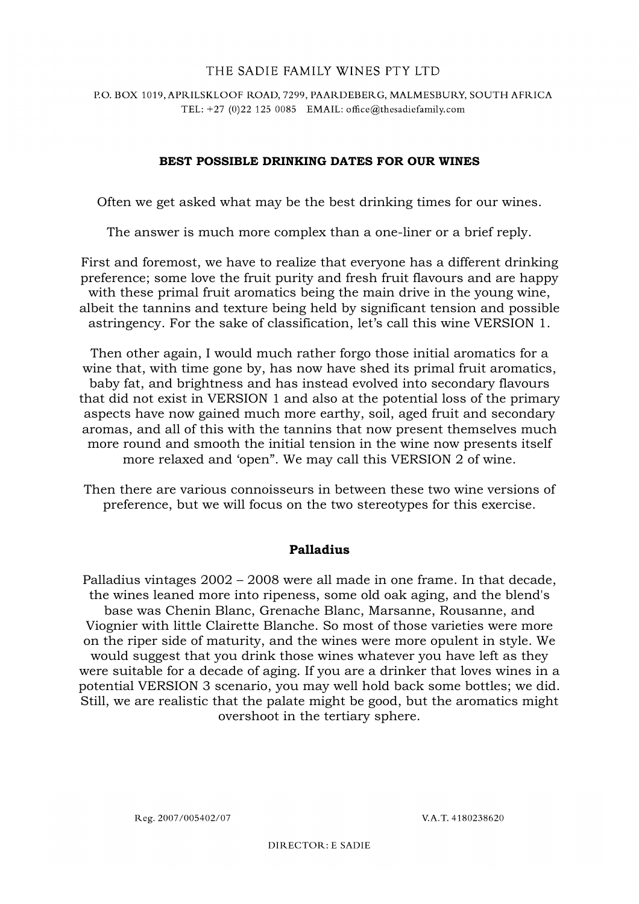## P.O. BOX 1019, APRILSKLOOF ROAD, 7299, PAARDEBERG, MALMESBURY, SOUTH AFRICA TEL: +27 (0)22 125 0085 EMAIL: office@thesadiefamily.com

# **BEST POSSIBLE DRINKING DATES FOR OUR WINES**

Often we get asked what may be the best drinking times for our wines.

The answer is much more complex than a one-liner or a brief reply.

First and foremost, we have to realize that everyone has a different drinking preference; some love the fruit purity and fresh fruit flavours and are happy with these primal fruit aromatics being the main drive in the young wine, albeit the tannins and texture being held by significant tension and possible astringency. For the sake of classification, let's call this wine VERSION 1.

Then other again, I would much rather forgo those initial aromatics for a wine that, with time gone by, has now have shed its primal fruit aromatics, baby fat, and brightness and has instead evolved into secondary flavours that did not exist in VERSION 1 and also at the potential loss of the primary aspects have now gained much more earthy, soil, aged fruit and secondary aromas, and all of this with the tannins that now present themselves much more round and smooth the initial tension in the wine now presents itself more relaxed and 'open". We may call this VERSION 2 of wine.

Then there are various connoisseurs in between these two wine versions of preference, but we will focus on the two stereotypes for this exercise.

# **Palladius**

Palladius vintages 2002 – 2008 were all made in one frame. In that decade, the wines leaned more into ripeness, some old oak aging, and the blend's base was Chenin Blanc, Grenache Blanc, Marsanne, Rousanne, and Viognier with little Clairette Blanche. So most of those varieties were more on the riper side of maturity, and the wines were more opulent in style. We would suggest that you drink those wines whatever you have left as they were suitable for a decade of aging. If you are a drinker that loves wines in a potential VERSION 3 scenario, you may well hold back some bottles; we did. Still, we are realistic that the palate might be good, but the aromatics might overshoot in the tertiary sphere.

Reg. 2007/005402/07

V.A.T. 4180238620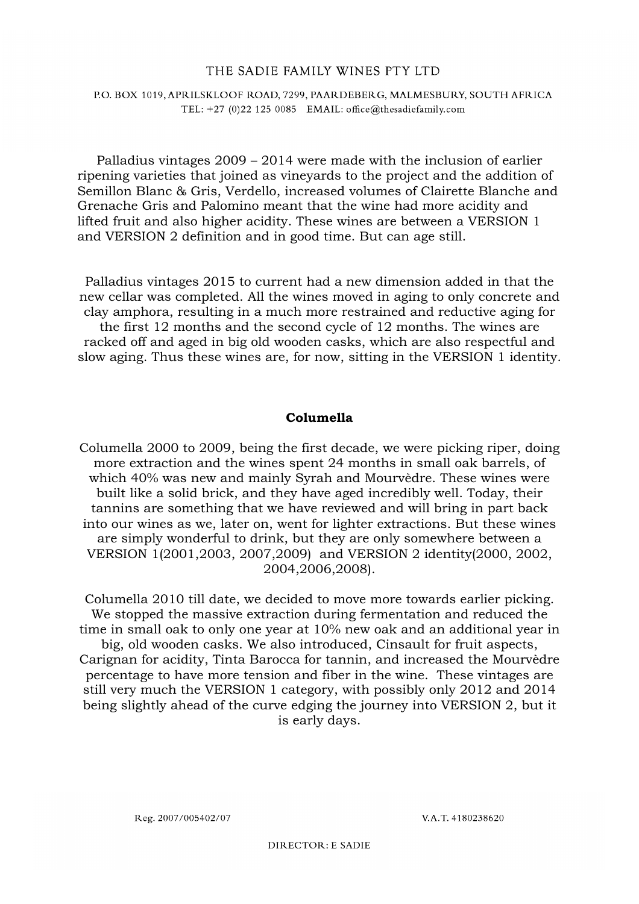### P.O. BOX 1019, APRILSKLOOF ROAD, 7299, PAARDEBERG, MALMESBURY, SOUTH AFRICA TEL: +27 (0)22 125 0085 EMAIL: office@thesadiefamily.com

Palladius vintages 2009 – 2014 were made with the inclusion of earlier ripening varieties that joined as vineyards to the project and the addition of Semillon Blanc & Gris, Verdello, increased volumes of Clairette Blanche and Grenache Gris and Palomino meant that the wine had more acidity and lifted fruit and also higher acidity. These wines are between a VERSION 1 and VERSION 2 definition and in good time. But can age still.

Palladius vintages 2015 to current had a new dimension added in that the new cellar was completed. All the wines moved in aging to only concrete and clay amphora, resulting in a much more restrained and reductive aging for the first 12 months and the second cycle of 12 months. The wines are racked off and aged in big old wooden casks, which are also respectful and slow aging. Thus these wines are, for now, sitting in the VERSION 1 identity.

### **Columella**

Columella 2000 to 2009, being the first decade, we were picking riper, doing more extraction and the wines spent 24 months in small oak barrels, of which 40% was new and mainly Syrah and Mourvèdre. These wines were built like a solid brick, and they have aged incredibly well. Today, their tannins are something that we have reviewed and will bring in part back into our wines as we, later on, went for lighter extractions. But these wines are simply wonderful to drink, but they are only somewhere between a VERSION 1(2001,2003, 2007,2009) and VERSION 2 identity(2000, 2002, 2004,2006,2008).

Columella 2010 till date, we decided to move more towards earlier picking. We stopped the massive extraction during fermentation and reduced the time in small oak to only one year at 10% new oak and an additional year in big, old wooden casks. We also introduced, Cinsault for fruit aspects, Carignan for acidity, Tinta Barocca for tannin, and increased the Mourvèdre percentage to have more tension and fiber in the wine. These vintages are still very much the VERSION 1 category, with possibly only 2012 and 2014 being slightly ahead of the curve edging the journey into VERSION 2, but it is early days.

Reg. 2007/005402/07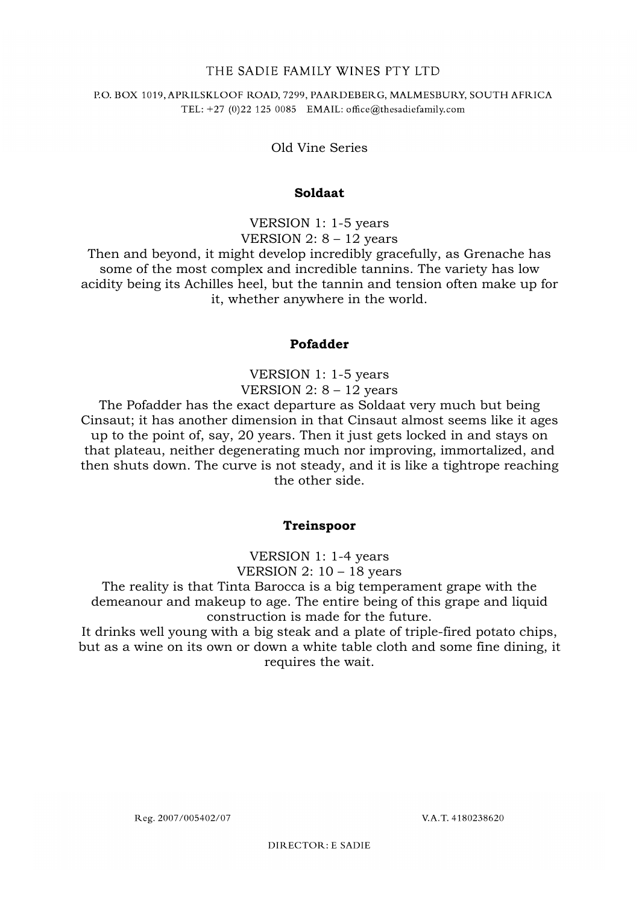### P.O. BOX 1019, APRILSKLOOF ROAD, 7299, PAARDEBERG, MALMESBURY, SOUTH AFRICA TEL: +27 (0)22 125 0085 EMAIL: office@thesadiefamily.com

Old Vine Series

## **Soldaat**

VERSION 1: 1-5 years VERSION 2:  $8 - 12$  years

Then and beyond, it might develop incredibly gracefully, as Grenache has some of the most complex and incredible tannins. The variety has low acidity being its Achilles heel, but the tannin and tension often make up for it, whether anywhere in the world.

## **Pofadder**

VERSION 1: 1-5 years VERSION  $2: 8 - 12$  years

The Pofadder has the exact departure as Soldaat very much but being Cinsaut; it has another dimension in that Cinsaut almost seems like it ages up to the point of, say, 20 years. Then it just gets locked in and stays on that plateau, neither degenerating much nor improving, immortalized, and then shuts down. The curve is not steady, and it is like a tightrope reaching the other side.

# **Treinspoor**

VERSION 1: 1-4 years VERSION 2:  $10 - 18$  years

The reality is that Tinta Barocca is a big temperament grape with the demeanour and makeup to age. The entire being of this grape and liquid construction is made for the future.

It drinks well young with a big steak and a plate of triple-fired potato chips, but as a wine on its own or down a white table cloth and some fine dining, it requires the wait.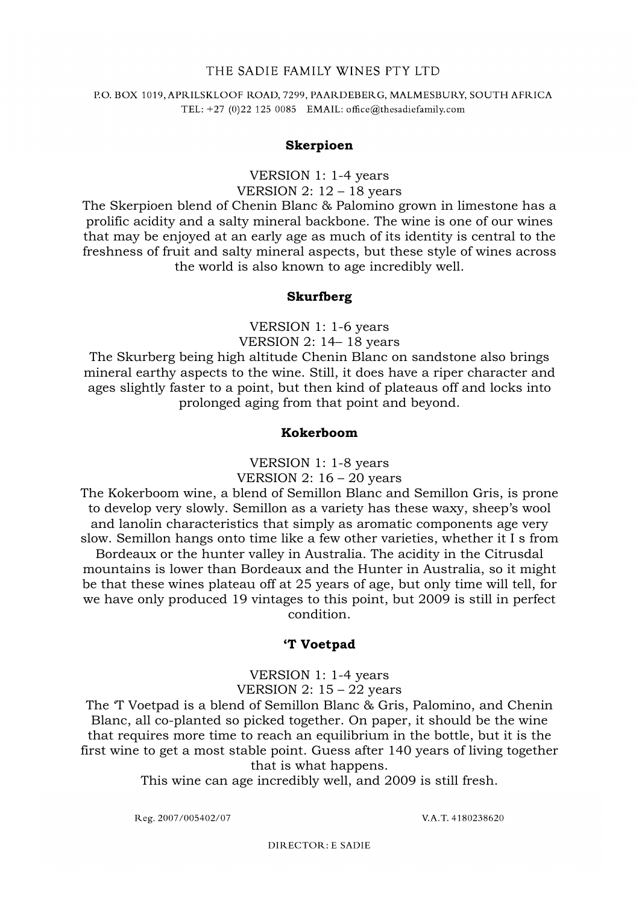#### P.O. BOX 1019, APRILSKLOOF ROAD, 7299, PAARDEBERG, MALMESBURY, SOUTH AFRICA TEL: +27 (0)22 125 0085 EMAIL: office@thesadiefamily.com

#### **Skerpioen**

VERSION 1: 1-4 years VERSION 2:  $12 - 18$  years

The Skerpioen blend of Chenin Blanc & Palomino grown in limestone has a prolific acidity and a salty mineral backbone. The wine is one of our wines that may be enjoyed at an early age as much of its identity is central to the freshness of fruit and salty mineral aspects, but these style of wines across the world is also known to age incredibly well.

#### **Skurfberg**

VERSION 1: 1-6 years VERSION 2: 14– 18 years

The Skurberg being high altitude Chenin Blanc on sandstone also brings mineral earthy aspects to the wine. Still, it does have a riper character and ages slightly faster to a point, but then kind of plateaus off and locks into prolonged aging from that point and beyond.

#### **Kokerboom**

VERSION 1: 1-8 years

VERSION 2:  $16 - 20$  years

The Kokerboom wine, a blend of Semillon Blanc and Semillon Gris, is prone to develop very slowly. Semillon as a variety has these waxy, sheep's wool and lanolin characteristics that simply as aromatic components age very slow. Semillon hangs onto time like a few other varieties, whether it I s from Bordeaux or the hunter valley in Australia. The acidity in the Citrusdal mountains is lower than Bordeaux and the Hunter in Australia, so it might be that these wines plateau off at 25 years of age, but only time will tell, for we have only produced 19 vintages to this point, but 2009 is still in perfect condition.

#### **'T Voetpad**

VERSION 1: 1-4 years VERSION  $2: 15 - 22$  years

The 'T Voetpad is a blend of Semillon Blanc & Gris, Palomino, and Chenin Blanc, all co-planted so picked together. On paper, it should be the wine that requires more time to reach an equilibrium in the bottle, but it is the first wine to get a most stable point. Guess after 140 years of living together that is what happens.

This wine can age incredibly well, and 2009 is still fresh.

Reg. 2007/005402/07

V.A.T. 4180238620